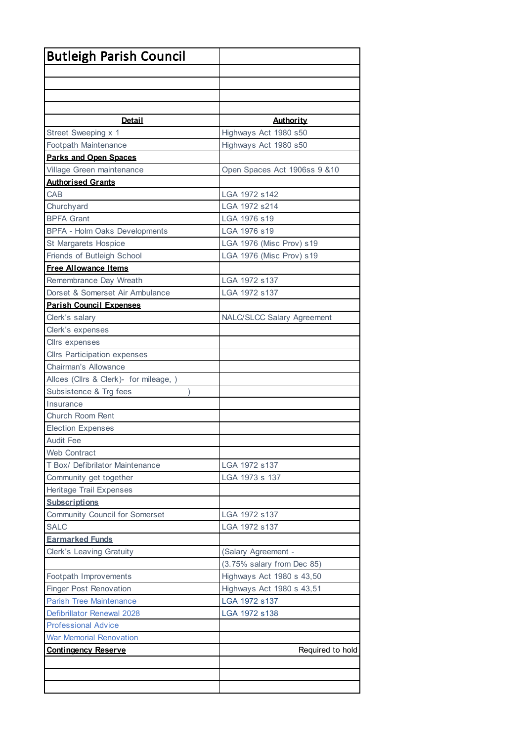| <b>Butleigh Parish Council</b>         |                                   |
|----------------------------------------|-----------------------------------|
|                                        |                                   |
|                                        |                                   |
|                                        |                                   |
|                                        |                                   |
| <b>Detail</b>                          | <b>Authority</b>                  |
| Street Sweeping x 1                    | Highways Act 1980 s50             |
| Footpath Maintenance                   | Highways Act 1980 s50             |
| <b>Parks and Open Spaces</b>           |                                   |
| Village Green maintenance              | Open Spaces Act 1906ss 9 &10      |
| <b>Authorised Grants</b>               |                                   |
| CAB                                    | LGA 1972 s142                     |
| Churchyard                             | LGA 1972 s214                     |
| <b>BPFA Grant</b>                      | LGA 1976 s19                      |
| <b>BPFA - Holm Oaks Developments</b>   | LGA 1976 s19                      |
| St Margarets Hospice                   | LGA 1976 (Misc Prov) s19          |
| Friends of Butleigh School             | LGA 1976 (Misc Prov) s19          |
| <b>Free Allowance Items</b>            |                                   |
| Remembrance Day Wreath                 | LGA 1972 s137                     |
| Dorset & Somerset Air Ambulance        | LGA 1972 s137                     |
| <b>Parish Council Expenses</b>         |                                   |
| Clerk's salary                         | <b>NALC/SLCC Salary Agreement</b> |
| Clerk's expenses                       |                                   |
| Cllrs expenses                         |                                   |
| <b>Cllrs Participation expenses</b>    |                                   |
| Chairman's Allowance                   |                                   |
| Allces (Cllrs & Clerk)- for mileage, ) |                                   |
| Subsistence & Trg fees                 |                                   |
| Insurance                              |                                   |
| Church Room Rent                       |                                   |
| <b>Election Expenses</b>               |                                   |
| <b>Audit Fee</b>                       |                                   |
| <b>Web Contract</b>                    |                                   |
| T Box/ Defibrilator Maintenance        | LGA 1972 s137                     |
| Community get together                 | LGA 1973 s 137                    |
| <b>Heritage Trail Expenses</b>         |                                   |
| <b>Subscriptions</b>                   |                                   |
| Community Council for Somerset         | LGA 1972 s137                     |
| <b>SALC</b>                            | LGA 1972 s137                     |
| <b>Earmarked Funds</b>                 |                                   |
| <b>Clerk's Leaving Gratuity</b>        | (Salary Agreement -               |
|                                        | (3.75% salary from Dec 85)        |
| Footpath Improvements                  | Highways Act 1980 s 43,50         |
| <b>Finger Post Renovation</b>          | Highways Act 1980 s 43,51         |
| <b>Parish Tree Maintenance</b>         | LGA 1972 s137                     |
| Defibrillator Renewal 2028             | LGA 1972 s138                     |
| <b>Professional Advice</b>             |                                   |
| <b>War Memorial Renovation</b>         |                                   |
| <b>Contingency Reserve</b>             | Required to hold                  |
|                                        |                                   |
|                                        |                                   |
|                                        |                                   |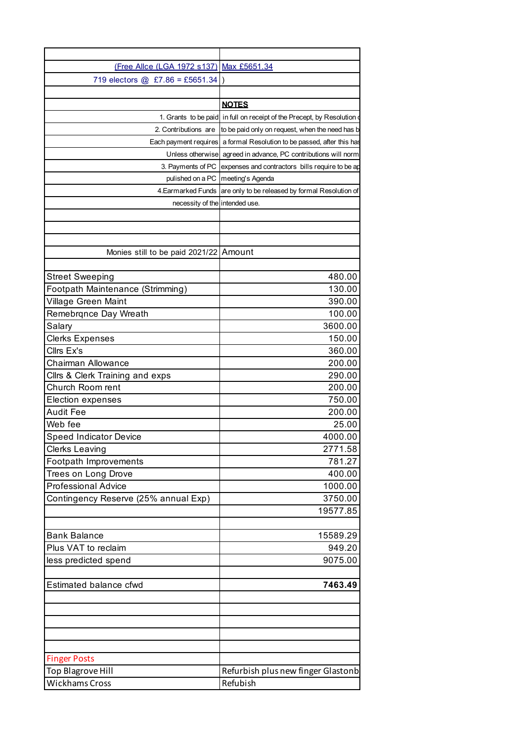| (Free Allce (LGA 1972 s137) Max £5651.34 |                                                                        |
|------------------------------------------|------------------------------------------------------------------------|
| 719 electors @ £7.86 = £5651.34 )        |                                                                        |
|                                          |                                                                        |
|                                          | <b>NOTES</b>                                                           |
|                                          | 1. Grants to be paid in full on receipt of the Precept, by Resolution  |
| 2. Contributions are                     | to be paid only on request, when the need has b                        |
|                                          | Each payment requires a formal Resolution to be passed, after this has |
|                                          | Unless otherwise agreed in advance, PC contributions will norm         |
|                                          | 3. Payments of PC expenses and contractors bills require to be ap-     |
|                                          | pulished on a PC   meeting's Agenda                                    |
|                                          | 4. Earmarked Funds are only to be released by formal Resolution of     |
| necessity of the intended use.           |                                                                        |
|                                          |                                                                        |
|                                          |                                                                        |
|                                          |                                                                        |
| Monies still to be paid 2021/22 Amount   |                                                                        |
|                                          |                                                                        |
| <b>Street Sweeping</b>                   | 480.00                                                                 |
| Footpath Maintenance (Strimming)         | 130.00                                                                 |
| Village Green Maint                      | 390.00                                                                 |
| Remebrqnce Day Wreath                    | 100.00                                                                 |
| Salary                                   | 3600.00                                                                |
| <b>Clerks Expenses</b>                   | 150.00                                                                 |
| Cllrs Ex's                               | 360.00                                                                 |
| Chairman Allowance                       | 200.00                                                                 |
| Cllrs & Clerk Training and exps          | 290.00                                                                 |
| Church Room rent                         | 200.00                                                                 |
|                                          |                                                                        |
| <b>Election expenses</b>                 | 750.00                                                                 |
| <b>Audit Fee</b>                         | 200.00                                                                 |
| Web fee                                  | 25.00                                                                  |
| <b>Speed Indicator Device</b>            | 4000.00                                                                |
| <b>Clerks Leaving</b>                    | 2771.58                                                                |
| Footpath Improvements                    | 781.27                                                                 |
| Trees on Long Drove                      | 400.00                                                                 |
| <b>Professional Advice</b>               | 1000.00                                                                |
| Contingency Reserve (25% annual Exp)     | 3750.00                                                                |
|                                          | 19577.85                                                               |
|                                          |                                                                        |
| <b>Bank Balance</b>                      | 15589.29                                                               |
| Plus VAT to reclaim                      | 949.20                                                                 |
| less predicted spend                     | 9075.00                                                                |
|                                          |                                                                        |
| Estimated balance cfwd                   | 7463.49                                                                |
|                                          |                                                                        |
|                                          |                                                                        |
|                                          |                                                                        |
|                                          |                                                                        |
|                                          |                                                                        |
| <b>Finger Posts</b>                      |                                                                        |
|                                          | Refurbish plus new finger Glastonb                                     |
| Top Blagrove Hill                        |                                                                        |
| Wickhams Cross                           | Refubish                                                               |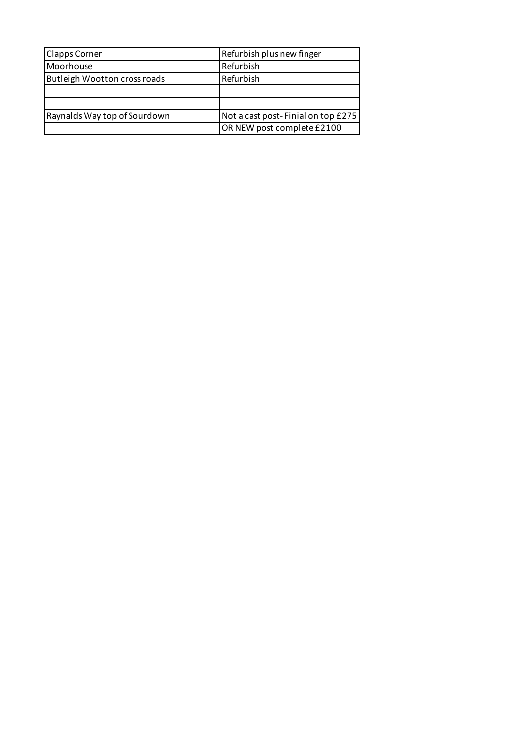| <b>Clapps Corner</b>                | Refurbish plus new finger          |
|-------------------------------------|------------------------------------|
| Moorhouse                           | Refurbish                          |
| <b>Butleigh Wootton cross roads</b> | Refurbish                          |
|                                     |                                    |
|                                     |                                    |
| Raynalds Way top of Sourdown        | Not a cast post-Finial on top £275 |
|                                     | OR NEW post complete £2100         |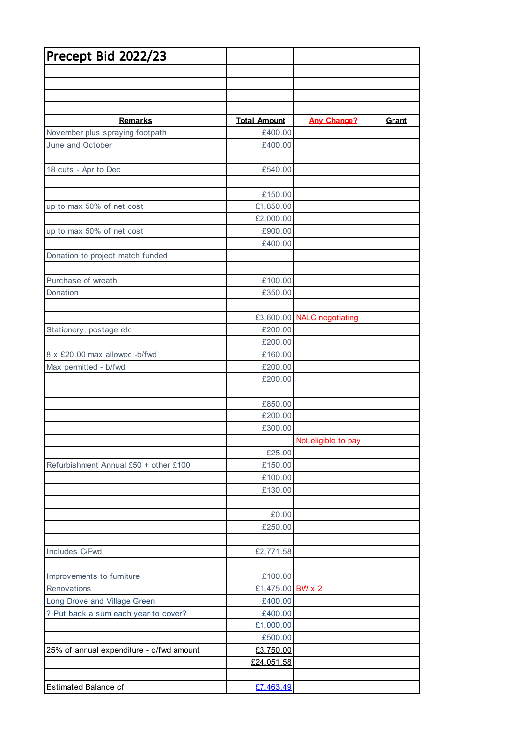| Precept Bid 2022/23                      |                             |                            |              |
|------------------------------------------|-----------------------------|----------------------------|--------------|
|                                          |                             |                            |              |
|                                          |                             |                            |              |
|                                          |                             |                            |              |
|                                          |                             |                            |              |
| <b>Remarks</b>                           | <b>Total Amount</b>         | <b>Any Change?</b>         | <b>Grant</b> |
| November plus spraying footpath          | £400.00                     |                            |              |
| June and October                         | £400.00                     |                            |              |
| 18 cuts - Apr to Dec                     | £540.00                     |                            |              |
|                                          |                             |                            |              |
|                                          | £150.00                     |                            |              |
| up to max 50% of net cost                | £1,850.00                   |                            |              |
|                                          | £2,000.00                   |                            |              |
| up to max 50% of net cost                | £900.00                     |                            |              |
|                                          | £400.00                     |                            |              |
| Donation to project match funded         |                             |                            |              |
|                                          |                             |                            |              |
| Purchase of wreath<br>Donation           | £100.00<br>£350.00          |                            |              |
|                                          |                             |                            |              |
|                                          |                             | £3,600.00 NALC negotiating |              |
| Stationery, postage etc                  | £200.00                     |                            |              |
|                                          | £200.00                     |                            |              |
| 8 x £20.00 max allowed -b/fwd            | £160.00                     |                            |              |
| Max permitted - b/fwd                    | £200.00                     |                            |              |
|                                          | £200.00                     |                            |              |
|                                          |                             |                            |              |
|                                          | £850.00                     |                            |              |
|                                          | £200.00                     |                            |              |
|                                          | £300.00                     |                            |              |
|                                          | £25.00                      | Not eligible to pay        |              |
| Refurbishment Annual £50 + other £100    | £150.00                     |                            |              |
|                                          | £100.00                     |                            |              |
|                                          | £130.00                     |                            |              |
|                                          |                             |                            |              |
|                                          | £0.00                       |                            |              |
|                                          | £250.00                     |                            |              |
|                                          |                             |                            |              |
| Includes C/Fwd                           | £2,771.58                   |                            |              |
|                                          |                             |                            |              |
| Improvements to furniture<br>Renovations | £100.00<br>£1,475.00 BW x 2 |                            |              |
| Long Drove and Village Green             | £400.00                     |                            |              |
| ? Put back a sum each year to cover?     | £400.00                     |                            |              |
|                                          | £1,000.00                   |                            |              |
|                                          | £500.00                     |                            |              |
| 25% of annual expenditure - c/fwd amount | £3,750.00                   |                            |              |
|                                          | £24,051.58                  |                            |              |
|                                          |                             |                            |              |
| <b>Estimated Balance cf</b>              | £7.463.49                   |                            |              |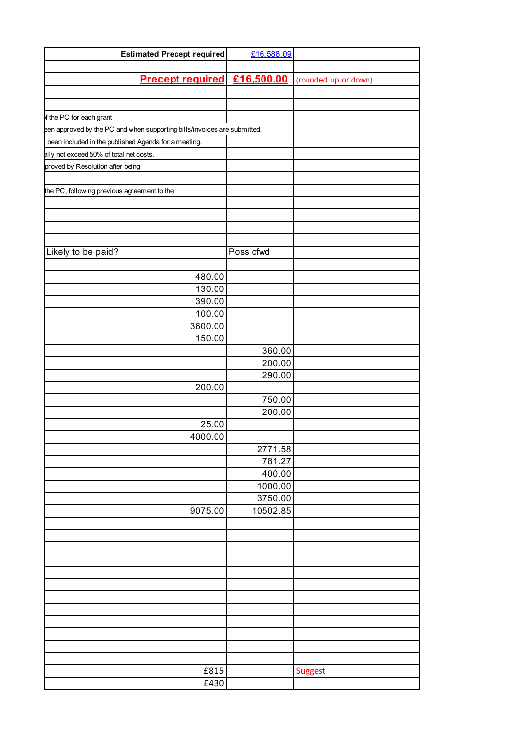| <b>Estimated Precept required</b>                                        | £16,588.09 |                      |  |
|--------------------------------------------------------------------------|------------|----------------------|--|
|                                                                          |            |                      |  |
| <b>Precept required £16,500.00</b>                                       |            | (rounded up or down) |  |
|                                                                          |            |                      |  |
|                                                                          |            |                      |  |
|                                                                          |            |                      |  |
| of the PC for each grant                                                 |            |                      |  |
| een approved by the PC and when supporting bills/invoices are submitted. |            |                      |  |
| been included in the published Agenda for a meeting.                     |            |                      |  |
| ally not exceed 50% of total net costs.                                  |            |                      |  |
| proved by Resolution after being                                         |            |                      |  |
|                                                                          |            |                      |  |
| the PC, following previous agreement to the                              |            |                      |  |
|                                                                          |            |                      |  |
|                                                                          |            |                      |  |
|                                                                          |            |                      |  |
|                                                                          |            |                      |  |
| Likely to be paid?                                                       | Poss cfwd  |                      |  |
|                                                                          |            |                      |  |
| 480.00                                                                   |            |                      |  |
|                                                                          |            |                      |  |
| 130.00                                                                   |            |                      |  |
| 390.00                                                                   |            |                      |  |
| 100.00                                                                   |            |                      |  |
| 3600.00                                                                  |            |                      |  |
| 150.00                                                                   |            |                      |  |
|                                                                          | 360.00     |                      |  |
|                                                                          | 200.00     |                      |  |
|                                                                          | 290.00     |                      |  |
| 200.00                                                                   |            |                      |  |
|                                                                          | 750.00     |                      |  |
|                                                                          | 200.00     |                      |  |
| 25.00                                                                    |            |                      |  |
| 4000.00                                                                  |            |                      |  |
|                                                                          | 2771.58    |                      |  |
|                                                                          | 781.27     |                      |  |
|                                                                          |            |                      |  |
|                                                                          | 400.00     |                      |  |
|                                                                          | 1000.00    |                      |  |
|                                                                          | 3750.00    |                      |  |
| 9075.00                                                                  | 10502.85   |                      |  |
|                                                                          |            |                      |  |
|                                                                          |            |                      |  |
|                                                                          |            |                      |  |
|                                                                          |            |                      |  |
|                                                                          |            |                      |  |
|                                                                          |            |                      |  |
|                                                                          |            |                      |  |
|                                                                          |            |                      |  |
|                                                                          |            |                      |  |
|                                                                          |            |                      |  |
|                                                                          |            |                      |  |
|                                                                          |            |                      |  |
|                                                                          |            |                      |  |
| £815                                                                     |            | <b>Suggest</b>       |  |
| £430                                                                     |            |                      |  |